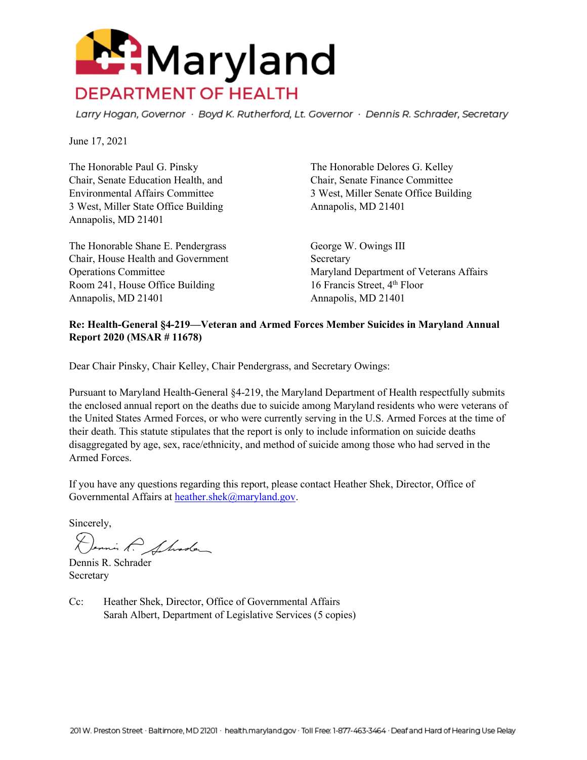

Larry Hogan, Governor · Boyd K. Rutherford, Lt. Governor · Dennis R. Schrader, Secretary

June 17, 2021

The Honorable Paul G. Pinsky The Honorable Delores G. Kelley Chair, Senate Education Health, and Chair, Senate Finance Committee 3 West, Miller State Office Building Annapolis, MD 21401 Annapolis, MD 21401

The Honorable Shane E. Pendergrass George W. Owings III Chair, House Health and Government Secretary Room 241, House Office Building 16 Francis Street, 4<sup>th</sup> Floor Annapolis, MD 21401 Annapolis, MD 21401

Environmental Affairs Committee 3 West, Miller Senate Office Building

Operations Committee Maryland Department of Veterans Affairs

#### **Re: Health-General §4-219—Veteran and Armed Forces Member Suicides in Maryland Annual Report 2020 (MSAR # 11678)**

Dear Chair Pinsky, Chair Kelley, Chair Pendergrass, and Secretary Owings:

Pursuant to Maryland Health-General §4-219, the Maryland Department of Health respectfully submits the enclosed annual report on the deaths due to suicide among Maryland residents who were veterans of the United States Armed Forces, or who were currently serving in the U.S. Armed Forces at the time of their death. This statute stipulates that the report is only to include information on suicide deaths disaggregated by age, sex, race/ethnicity, and method of suicide among those who had served in the Armed Forces.

If you have any questions regarding this report, please contact Heather Shek, Director, Office of Governmental Affairs at [heather.shek@maryland.gov.](mailto:heather.shek@maryland.gov)

Sincerely,

Dennis P. Shode

Dennis R. Schrader Secretary

Cc: Heather Shek, Director, Office of Governmental Affairs Sarah Albert, Department of Legislative Services (5 copies)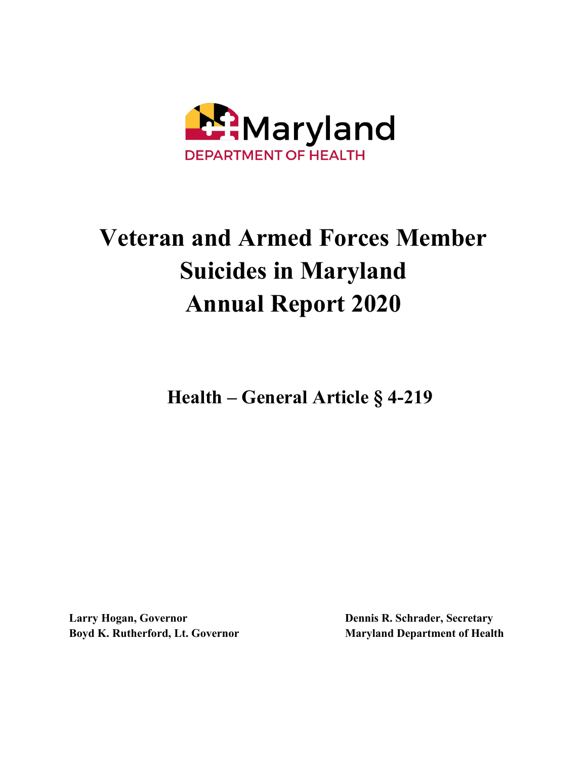

# **Veteran and Armed Forces Member Suicides in Maryland Annual Report 2020**

**Health – General Article § 4-219**

**Larry Hogan, Governor Boyd K. Rutherford, Lt. Governor**  **Dennis R. Schrader, Secretary Maryland Department of Health**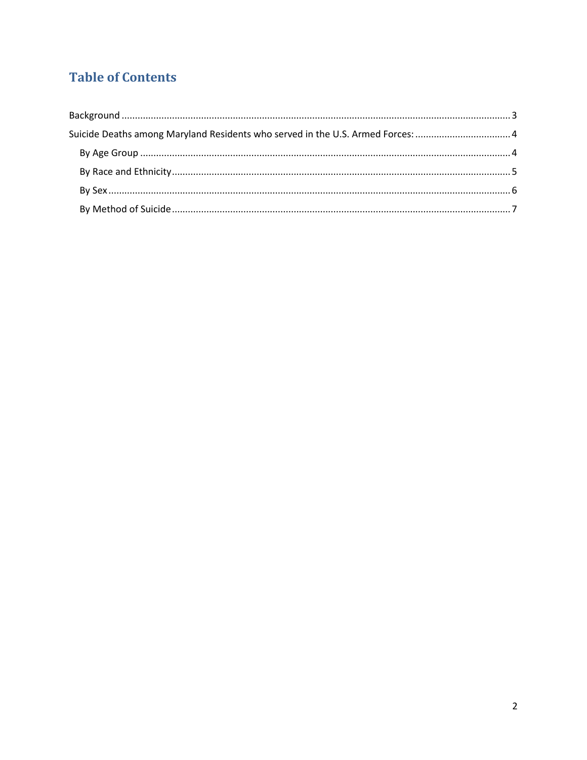# **Table of Contents**

| Suicide Deaths among Maryland Residents who served in the U.S. Armed Forces:  4 |  |
|---------------------------------------------------------------------------------|--|
|                                                                                 |  |
|                                                                                 |  |
|                                                                                 |  |
|                                                                                 |  |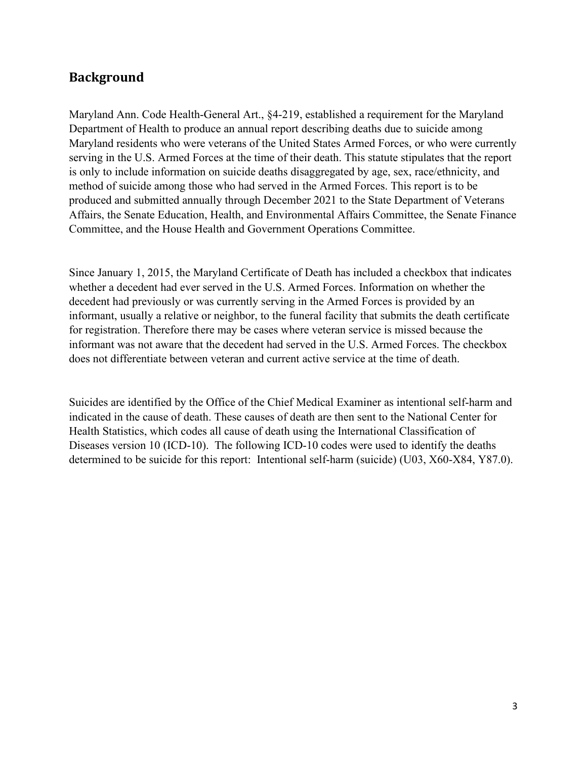# <span id="page-3-0"></span>**Background**

Maryland Ann. Code Health-General Art., §4-219, established a requirement for the Maryland Department of Health to produce an annual report describing deaths due to suicide among Maryland residents who were veterans of the United States Armed Forces, or who were currently serving in the U.S. Armed Forces at the time of their death. This statute stipulates that the report is only to include information on suicide deaths disaggregated by age, sex, race/ethnicity, and method of suicide among those who had served in the Armed Forces. This report is to be produced and submitted annually through December 2021 to the State Department of Veterans Affairs, the Senate Education, Health, and Environmental Affairs Committee, the Senate Finance Committee, and the House Health and Government Operations Committee.

Since January 1, 2015, the Maryland Certificate of Death has included a checkbox that indicates whether a decedent had ever served in the U.S. Armed Forces. Information on whether the decedent had previously or was currently serving in the Armed Forces is provided by an informant, usually a relative or neighbor, to the funeral facility that submits the death certificate for registration. Therefore there may be cases where veteran service is missed because the informant was not aware that the decedent had served in the U.S. Armed Forces. The checkbox does not differentiate between veteran and current active service at the time of death.

Suicides are identified by the Office of the Chief Medical Examiner as intentional self-harm and indicated in the cause of death. These causes of death are then sent to the National Center for Health Statistics, which codes all cause of death using the International Classification of Diseases version 10 (ICD-10). The following ICD-10 codes were used to identify the deaths determined to be suicide for this report: Intentional self-harm (suicide) (U03, X60-X84, Y87.0).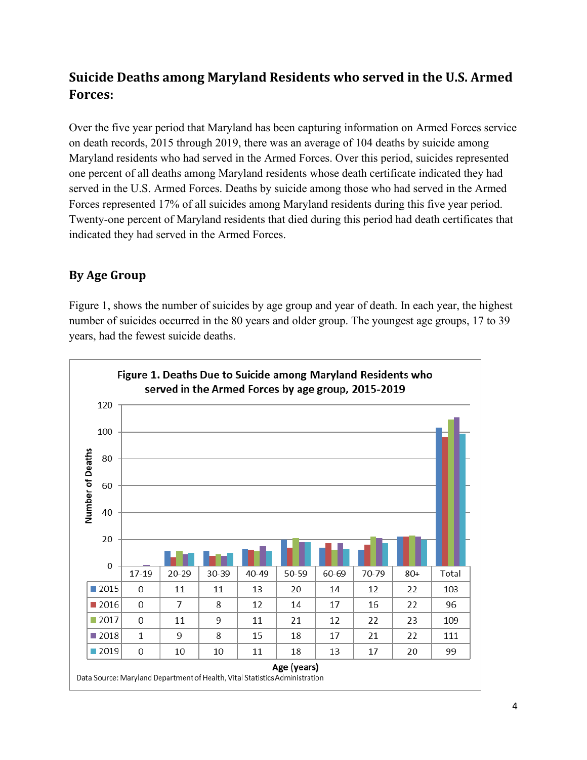# <span id="page-4-0"></span>**Suicide Deaths among Maryland Residents who served in the U.S. Armed Forces:**

Over the five year period that Maryland has been capturing information on Armed Forces service on death records, 2015 through 2019, there was an average of 104 deaths by suicide among Maryland residents who had served in the Armed Forces. Over this period, suicides represented one percent of all deaths among Maryland residents whose death certificate indicated they had served in the U.S. Armed Forces. Deaths by suicide among those who had served in the Armed Forces represented 17% of all suicides among Maryland residents during this five year period. Twenty-one percent of Maryland residents that died during this period had death certificates that indicated they had served in the Armed Forces.

## <span id="page-4-1"></span>**By Age Group**

Figure 1, shows the number of suicides by age group and year of death. In each year, the highest number of suicides occurred in the 80 years and older group. The youngest age groups, 17 to 39 years, had the fewest suicide deaths.

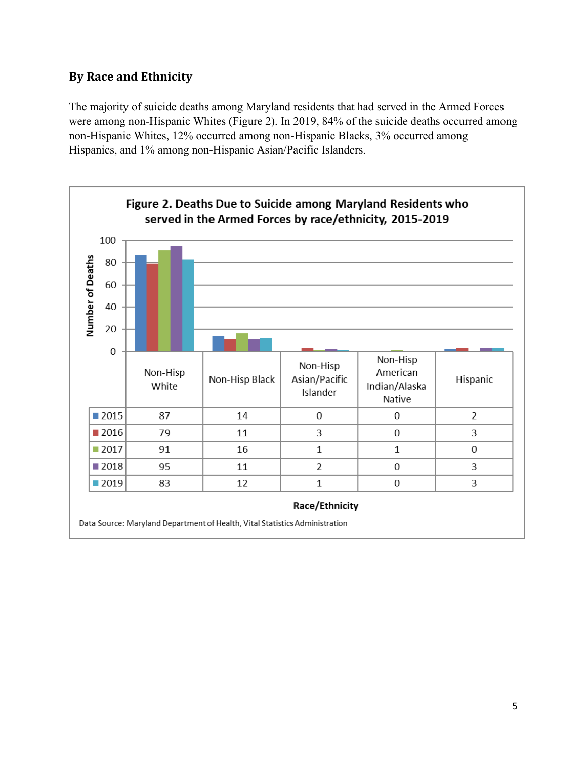## <span id="page-5-0"></span>**By Race and Ethnicity**

The majority of suicide deaths among Maryland residents that had served in the Armed Forces were among non-Hispanic Whites (Figure 2). In 2019, 84% of the suicide deaths occurred among non-Hispanic Whites, 12% occurred among non-Hispanic Blacks, 3% occurred among Hispanics, and 1% among non-Hispanic Asian/Pacific Islanders.

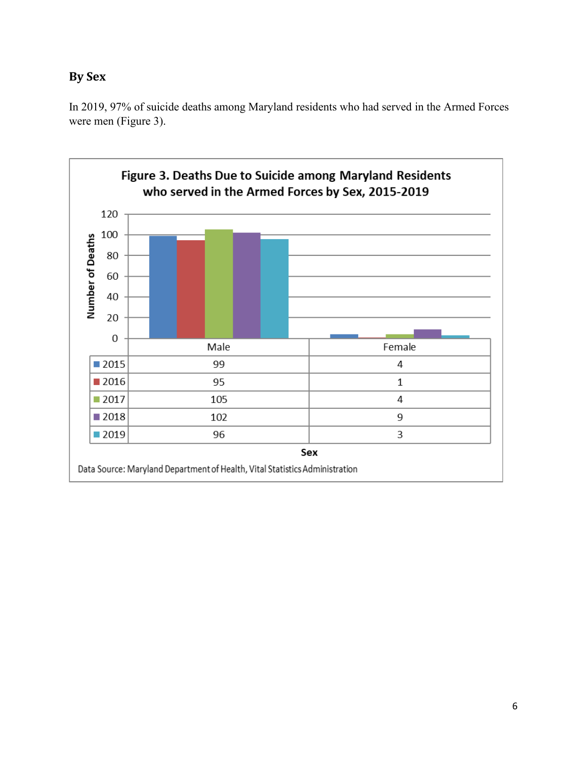# <span id="page-6-0"></span>**By Sex**

In 2019, 97% of suicide deaths among Maryland residents who had served in the Armed Forces were men (Figure 3).

<span id="page-6-1"></span>